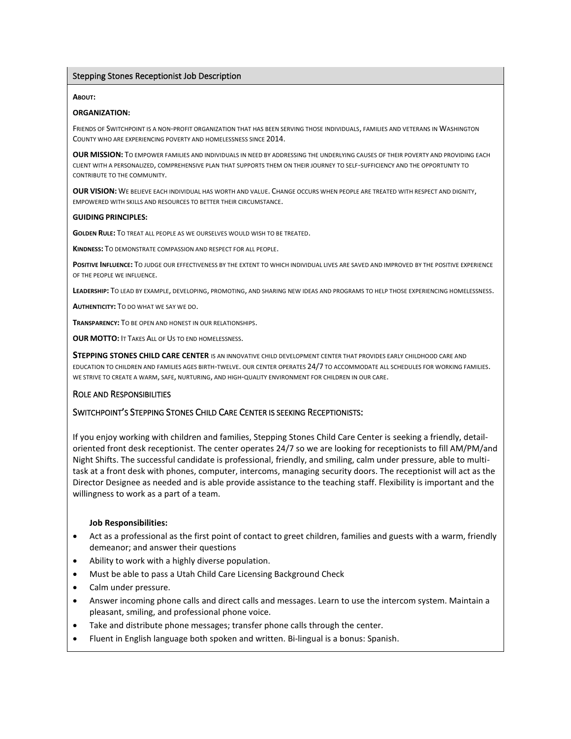## Stepping Stones Receptionist Job Description

#### **ABOUT:**

#### **ORGANIZATION:**

FRIENDS OF SWITCHPOINT IS A NON-PROFIT ORGANIZATION THAT HAS BEEN SERVING THOSE INDIVIDUALS, FAMILIES AND VETERANS IN WASHINGTON COUNTY WHO ARE EXPERIENCING POVERTY AND HOMELESSNESS SINCE 2014.

**OUR MISSION:** TO EMPOWER FAMILIES AND INDIVIDUALS IN NEED BY ADDRESSING THE UNDERLYING CAUSES OF THEIR POVERTY AND PROVIDING EACH CLIENT WITH A PERSONALIZED, COMPREHENSIVE PLAN THAT SUPPORTS THEM ON THEIR JOURNEY TO SELF-SUFFICIENCY AND THE OPPORTUNITY TO CONTRIBUTE TO THE COMMUNITY.

**OUR VISION:** WE BELIEVE EACH INDIVIDUAL HAS WORTH AND VALUE. CHANGE OCCURS WHEN PEOPLE ARE TREATED WITH RESPECT AND DIGNITY, EMPOWERED WITH SKILLS AND RESOURCES TO BETTER THEIR CIRCUMSTANCE.

#### **GUIDING PRINCIPLES:**

**GOLDEN RULE:** TO TREAT ALL PEOPLE AS WE OURSELVES WOULD WISH TO BE TREATED.

**KINDNESS:** TO DEMONSTRATE COMPASSION AND RESPECT FOR ALL PEOPLE.

**POSITIVE <b>INFLUENCE**: TO JUDGE OUR EFFECTIVENESS BY THE EXTENT TO WHICH INDIVIDUAL LIVES ARE SAVED AND IMPROVED BY THE POSITIVE EXPERIENCE OF THE PEOPLE WE INFLUENCE.

**LEADERSHIP:** TO LEAD BY EXAMPLE, DEVELOPING, PROMOTING, AND SHARING NEW IDEAS AND PROGRAMS TO HELP THOSE EXPERIENCING HOMELESSNESS.

**AUTHENTICITY:** TO DO WHAT WE SAY WE DO.

**TRANSPARENCY:** TO BE OPEN AND HONEST IN OUR RELATIONSHIPS.

**OUR MOTTO:** IT TAKES ALL OF US TO END HOMELESSNESS.

**STEPPING STONES CHILD CARE CENTER** IS AN INNOVATIVE CHILD DEVELOPMENT CENTER THAT PROVIDES EARLY CHILDHOOD CARE AND EDUCATION TO CHILDREN AND FAMILIES AGES BIRTH-TWELVE. OUR CENTER OPERATES 24/7 TO ACCOMMODATE ALL SCHEDULES FOR WORKING FAMILIES. WE STRIVE TO CREATE A WARM, SAFE, NURTURING, AND HIGH-QUALITY ENVIRONMENT FOR CHILDREN IN OUR CARE.

## ROLE AND RESPONSIBILITIES

# SWITCHPOINT'S STEPPING STONES CHILD CARE CENTER IS SEEKING RECEPTIONISTS:

If you enjoy working with children and families, Stepping Stones Child Care Center is seeking a friendly, detailoriented front desk receptionist. The center operates 24/7 so we are looking for receptionists to fill AM/PM/and Night Shifts. The successful candidate is professional, friendly, and smiling, calm under pressure, able to multitask at a front desk with phones, computer, intercoms, managing security doors. The receptionist will act as the Director Designee as needed and is able provide assistance to the teaching staff. Flexibility is important and the willingness to work as a part of a team.

## **Job Responsibilities:**

- Act as a professional as the first point of contact to greet children, families and guests with a warm, friendly demeanor; and answer their questions
- Ability to work with a highly diverse population.
- Must be able to pass a Utah Child Care Licensing Background Check
- Calm under pressure.
- Answer incoming phone calls and direct calls and messages. Learn to use the intercom system. Maintain a pleasant, smiling, and professional phone voice.
- Take and distribute phone messages; transfer phone calls through the center.
- Fluent in English language both spoken and written. Bi-lingual is a bonus: Spanish.